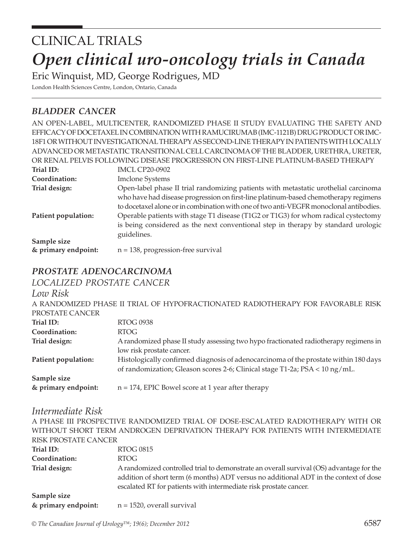# *Open clinical uro-oncology trials in Canada* CLINICAL TRIALS

Eric Winquist, MD, George Rodrigues, MD

London Health Sciences Centre, London, Ontario, Canada

## *bladder cancer*

|                     | AN OPEN-LABEL, MULTICENTER, RANDOMIZED PHASE II STUDY EVALUATING THE SAFETY AND         |
|---------------------|-----------------------------------------------------------------------------------------|
|                     | EFFICACY OF DOCETAXEL IN COMBINATION WITH RAMUCIRUMAB (IMC-1121B) DRUG PRODUCT OR IMC-  |
|                     | 18F1 OR WITHOUT INVESTIGATIONAL THERAPY AS SECOND-LINE THERAPY IN PATIENTS WITH LOCALLY |
|                     | ADVANCED OR METASTATIC TRANSITIONAL CELL CARCINOMA OF THE BLADDER, URETHRA, URETER,     |
|                     | OR RENAL PELVIS FOLLOWING DISEASE PROGRESSION ON FIRST-LINE PLATINUM-BASED THERAPY      |
| Trial ID:           | <b>IMCL CP20-0902</b>                                                                   |
| Coordination:       | <b>Imclone Systems</b>                                                                  |
| Trial design:       | Open-label phase II trial randomizing patients with metastatic urothelial carcinoma     |
|                     | who have had disease progression on first-line platinum-based chemotherapy regimens     |
|                     | to docetaxel alone or in combination with one of two anti-VEGFR monoclonal antibodies.  |
| Patient population: | Operable patients with stage T1 disease (T1G2 or T1G3) for whom radical cystectomy      |
|                     | is being considered as the next conventional step in therapy by standard urologic       |
|                     | guidelines.                                                                             |
| Sample size         |                                                                                         |
| & primary endpoint: | $n = 138$ , progression-free survival                                                   |

#### *prostate adenocarcinoma*

*localized prostate cancer*

*Low Risk*

| A RANDOMIZED PHASE II TRIAL OF HYPOFRACTIONATED RADIOTHERAPY FOR FAVORABLE RISK      |
|--------------------------------------------------------------------------------------|
|                                                                                      |
| <b>RTOG 0938</b>                                                                     |
| RTOG                                                                                 |
| A randomized phase II study assessing two hypo fractionated radiotherapy regimens in |
| low risk prostate cancer.                                                            |
| Histologically confirmed diagnosis of adenocarcinoma of the prostate within 180 days |
| of randomization; Gleason scores 2-6; Clinical stage T1-2a; PSA < 10 ng/mL.          |
|                                                                                      |
| $n = 174$ , EPIC Bowel score at 1 year after therapy                                 |
|                                                                                      |

#### *Intermediate Risk*

A PHASE III PROSPECTIVE RANDOMIZED TRIAL OF DOSE-ESCALATED RADIOTHERAPY WITH OR WITHOUT SHORT TERM ANDROGEN DEPRIVATION THERAPY FOR PATIENTS WITH INTERMEDIATE RISK PROSTATE CANCER **Trial ID:** RTOG 0815 **Coordination:** RTOG **Trial design:** A randomized controlled trial to demonstrate an overall survival (OS) advantage for the addition of short term (6 months) ADT versus no additional ADT in the context of dose escalated RT for patients with intermediate risk prostate cancer. **Sample size & primary endpoint:** n = 1520, overall survival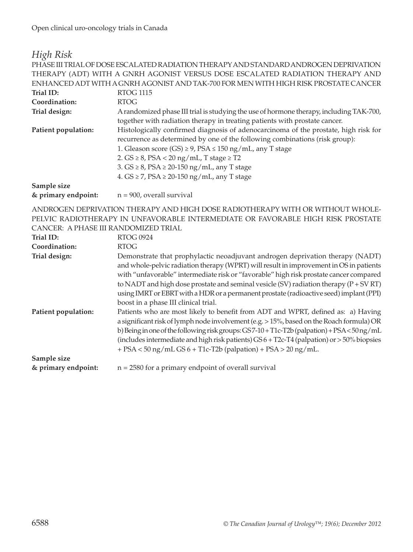#### *High Risk*

PHASE III TRIAL OF DOSE ESCALATED RADIATION THERAPY AND STANDARD ANDROGEN DEPRIVATION THERAPY (ADT) WITH A GNRH AGONIST VERSUS DOSE ESCALATED RADIATION THERAPY AND ENHANCED ADT WITH A GNRH AGONIST AND TAK-700 FOR MEN WITH HIGH RISK PROSTATE CANCER Trial ID: RTOG 1115 **Coordination:** RTOG **Trial design:** A randomized phase III trial is studying the use of hormone therapy, including TAK-700, together with radiation therapy in treating patients with prostate cancer. **Patient population:** Histologically confirmed diagnosis of adenocarcinoma of the prostate, high risk for recurrence as determined by one of the following combinations (risk group): 1. Gleason score (GS)  $\geq$  9, PSA  $\leq$  150 ng/mL, any T stage 2.  $GS \geq 8$ ,  $PSA < 20$  ng/mL, T stage  $\geq$  T2 3. GS ≥ 8, PSA ≥ 20-150 ng/mL, any T stage 4. GS ≥ 7, PSA ≥ 20-150 ng/mL, any T stage **Sample size & primary endpoint:** n = 900, overall survival

ANDROGEN DEPRIVATION THERAPY AND HIGH DOSE RADIOTHERAPY WITH OR WITHOUT WHOLE-PELVIC RADIOTHERAPY IN UNFAVORABLE INTERMEDIATE OR FAVORABLE HIGH RISK PROSTATE CANCER: A PHASE III RANDOMIZED TRIAL

| Trial ID:           | <b>RTOG 0924</b>                                                                                                                                                                                                                                                                                                                                                                                                                                                                                 |
|---------------------|--------------------------------------------------------------------------------------------------------------------------------------------------------------------------------------------------------------------------------------------------------------------------------------------------------------------------------------------------------------------------------------------------------------------------------------------------------------------------------------------------|
| Coordination:       | <b>RTOG</b>                                                                                                                                                                                                                                                                                                                                                                                                                                                                                      |
| Trial design:       | Demonstrate that prophylactic neoadjuvant androgen deprivation therapy (NADT)<br>and whole-pelvic radiation therapy (WPRT) will result in improvement in OS in patients<br>with "unfavorable" intermediate risk or "favorable" high risk prostate cancer compared<br>to NADT and high dose prostate and seminal vesicle (SV) radiation therapy ( $P + SV RT$ )<br>using IMRT or EBRT with a HDR or a permanent prostate (radioactive seed) implant (PPI)<br>boost in a phase III clinical trial. |
| Patient population: | Patients who are most likely to benefit from ADT and WPRT, defined as: a) Having<br>a significant risk of lymph node involvement (e.g. > 15%, based on the Roach formula) OR<br>b) Being in one of the following risk groups: GS7-10+T1c-T2b (palpation) + PSA < 50 ng/mL<br>(includes intermediate and high risk patients) $GS 6 + T2c-T4$ (palpation) or $> 50\%$ biopsies<br>$+$ PSA < 50 ng/mL GS 6 + T1c-T2b (palpation) + PSA > 20 ng/mL.                                                  |
| Sample size         |                                                                                                                                                                                                                                                                                                                                                                                                                                                                                                  |
| & primary endpoint: | $n = 2580$ for a primary endpoint of overall survival                                                                                                                                                                                                                                                                                                                                                                                                                                            |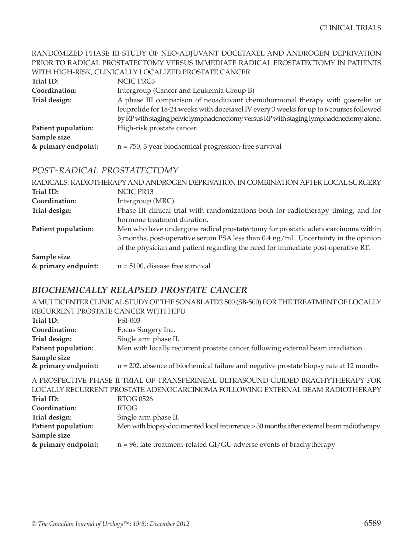#### RANDOMIZED PHASE III STUDY OF NEO-ADJUVANT DOCETAXEL AND ANDROGEN DEPRIVATION PRIOR TO RADICAL PROSTATECTOMY VERSUS IMMEDIATE RADICAL PROSTATECTOMY IN PATIENTS WITH HIGH-RISK, CLINICALLY LOCALIZED PROSTATE CANCER

| Trial ID:           | NCIC PRC3                                                                               |
|---------------------|-----------------------------------------------------------------------------------------|
| Coordination:       | Intergroup (Cancer and Leukemia Group B)                                                |
| Trial design:       | A phase III comparison of neoadjuvant chemohormonal therapy with goserelin or           |
|                     | leuprolide for 18-24 weeks with docetaxel IV every 3 weeks for up to 6 courses followed |
|                     | by RP with staging pelvic lymphadenectomy versus RP with staging lymphadenectomy alone. |
| Patient population: | High-risk prostate cancer.                                                              |
| Sample size         |                                                                                         |
| & primary endpoint: | $n = 750$ , 3 year biochemical progression-free survival                                |

#### *post-radical prostatectomy*

| RADICALS: RADIOTHERAPY AND ANDROGEN DEPRIVATION IN COMBINATION AFTER LOCAL SURGERY |                                                                                    |
|------------------------------------------------------------------------------------|------------------------------------------------------------------------------------|
| Trial ID:                                                                          | NCIC PR13                                                                          |
| Coordination:                                                                      | Intergroup (MRC)                                                                   |
| Trial design:                                                                      | Phase III clinical trial with randomizations both for radiotherapy timing, and for |
|                                                                                    | hormone treatment duration.                                                        |
| Patient population:                                                                | Men who have undergone radical prostatectomy for prostatic adenocarcinoma within   |
|                                                                                    | 3 months, post-operative serum PSA less than 0.4 ng/ml. Uncertainty in the opinion |
|                                                                                    | of the physician and patient regarding the need for immediate post-operative RT.   |
| Sample size                                                                        |                                                                                    |
| & primary endpoint:                                                                | $n = 5100$ , disease free survival                                                 |

## *biochemically relapsed prostate cancer*

A MULTICENTER CLINICAL STUDY OF THE SONABLATE® 500 (SB-500) FOR THE TREATMENT OF LOCALLY RECURRENT PROSTATE CANCER WITH HIFU

| Trial ID:           | FSI-003                                                                                   |
|---------------------|-------------------------------------------------------------------------------------------|
| Coordination:       | Focus Surgery Inc.                                                                        |
| Trial design:       | Single arm phase II.                                                                      |
| Patient population: | Men with locally recurrent prostate cancer following external beam irradiation.           |
| Sample size         |                                                                                           |
| & primary endpoint: | $n = 202$ , absence of biochemical failure and negative prostate biopsy rate at 12 months |
|                     |                                                                                           |

A PROSPECTIVE PHASE II TRIAL OF TRANSPERINEAL ULTRASOUND-GUIDED BRACHYTHERAPY FOR LOCALLY RECURRENT PROSTATE ADENOCARCINOMA FOLLOWING EXTERNAL BEAM RADIOTHERAPY **Trial ID:** RTOG 0526 **Coordination:** RTOG **Trial design:** Single arm phase II. **Patient population:** Men with biopsy-documented local recurrence > 30 months after external beam radiotherapy. **Sample size & primary endpoint:** n = 96, late treatment-related GI/GU adverse events of brachytherapy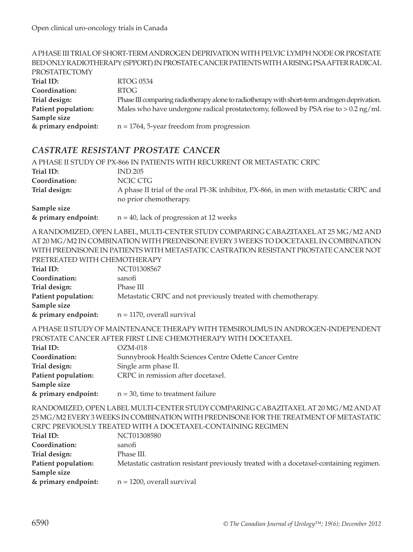#### A PHASE III TRIAL OF SHORT-TERM ANDROGEN DEPRIVATION WITH PELVIC LYMPH NODE OR PROSTATE BED ONLY RADIOTHERAPY (SPPORT) IN PROSTATE CANCER PATIENTS WITH A RISING PSA AFTER RADICAL PROSTATECTOMY **Trial ID:** RTOG 0534 **Coordination:** RTOG **Trial design:** Phase III comparing radiotherapy alone to radiotherapy with short-term androgen deprivation. **Patient population:** Males who have undergone radical prostatectomy, followed by PSA rise to > 0.2 ng/ml. **Sample size & primary endpoint:** n = 1764, 5-year freedom from progression

#### *castrate resistant prostate cancer*

|                                                                                      | A PHASE II STUDY OF PX-866 IN PATIENTS WITH RECURRENT OR METASTATIC CRPC              |
|--------------------------------------------------------------------------------------|---------------------------------------------------------------------------------------|
| Trial ID:                                                                            | <b>IND.205</b>                                                                        |
| Coordination:                                                                        | NCIC CTG                                                                              |
| Trial design:                                                                        | A phase II trial of the oral PI-3K inhibitor, PX-866, in men with metastatic CRPC and |
|                                                                                      | no prior chemotherapy.                                                                |
| Sample size                                                                          |                                                                                       |
| & primary endpoint:                                                                  | $n = 40$ , lack of progression at 12 weeks                                            |
|                                                                                      | A RANDOMIZED, OPEN LABEL, MULTI-CENTER STUDY COMPARING CABAZITAXEL AT 25 MG/M2 AND    |
|                                                                                      | AT 20 MG/M2 IN COMBINATION WITH PREDNISONE EVERY 3 WEEKS TO DOCETAXEL IN COMBINATION  |
| WITH PREDNISONE IN PATIENTS WITH METASTATIC CASTRATION RESISTANT PROSTATE CANCER NOT |                                                                                       |
| PRETREATED WITH CHEMOTHERAPY                                                         |                                                                                       |
| Trial ID:                                                                            | NCT01308567                                                                           |
| Coordination:                                                                        | sanofi                                                                                |
| Trial design:                                                                        | Phase III                                                                             |
| Patient population:                                                                  | Metastatic CRPC and not previously treated with chemotherapy.                         |
| Sample size                                                                          |                                                                                       |
| & primary endpoint:                                                                  | $n = 1170$ , overall survival                                                         |
|                                                                                      | A PHASE II STUDY OF MAINTENANCE THERAPY WITH TEMSIROLIMUS IN ANDROGEN-INDEPENDENT     |
|                                                                                      | PROSTATE CANCER AFTER FIRST LINE CHEMOTHERAPY WITH DOCETAXEL                          |
| Trial ID:                                                                            | $OZM-018$                                                                             |
| Coordination:                                                                        | Sunnybrook Health Sciences Centre Odette Cancer Centre                                |
| Trial design:                                                                        | Single arm phase II.                                                                  |
| Patient population:                                                                  | CRPC in remission after docetaxel.                                                    |

**Sample size & primary endpoint:** n = 30, time to treatment failure

RANDOMIZED, OPEN LABEL MULTI-CENTER STUDY COMPARING CABAZITAXEL AT 20 MG/M2 AND AT 25 MG/M2 EVERY 3 WEEKS IN COMBINATION WITH PREDNISONE FOR THE TREATMENT OF METASTATIC CRPC PREVIOUSLY TREATED WITH A DOCETAXEL-CONTAINING REGIMEN

| Trial ID:           | NCT01308580                                                                             |
|---------------------|-----------------------------------------------------------------------------------------|
| Coordination:       | sanofi                                                                                  |
| Trial design:       | Phase III.                                                                              |
| Patient population: | Metastatic castration resistant previously treated with a docetaxel-containing regimen. |
| Sample size         |                                                                                         |
| & primary endpoint: | $n = 1200$ , overall survival                                                           |